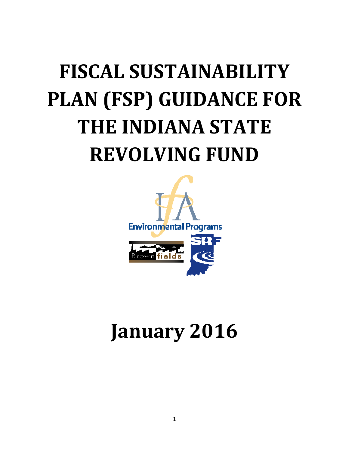# FISCAL SUSTAINABILITY PLAN (FSP) GUIDANCE FOR THE INDIANA STATE REVOLVING FUND



# January 2016 2016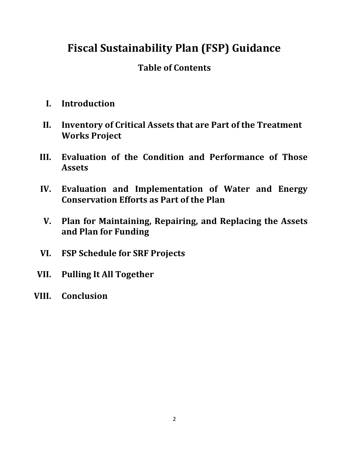# Fiscal Sustainability Plan (FSP) Guidance

# Table of Contents

- I. Introduction
- II. Inventory of Critical Assets that are Part of the Treatment Works Project
- III. Evaluation of the Condition and Performance of Those Assets
- IV. Evaluation and Implementation of Water and Energy Conservation Efforts as Part of the Plan
- V. Plan for Maintaining, Repairing, and Replacing the Assets and Plan for Funding
- VI. FSP Schedule for SRF Projects
- VII. Pulling It All Together
- VIII. Conclusion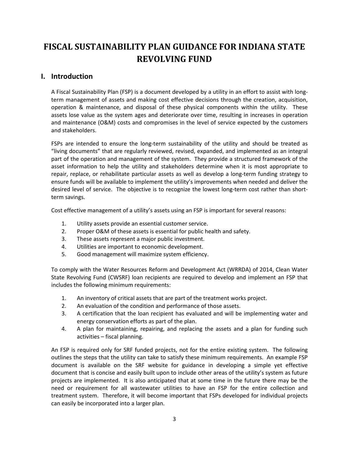# FISCAL SUSTAINABILITY PLAN GUIDANCE FOR INDIANA STATE REVOLVING FUND

# I. Introduction

A Fiscal Sustainability Plan (FSP) is a document developed by a utility in an effort to assist with longterm management of assets and making cost effective decisions through the creation, acquisition, operation & maintenance, and disposal of these physical components within the utility. These assets lose value as the system ages and deteriorate over time, resulting in increases in operation and maintenance (O&M) costs and compromises in the level of service expected by the customers and stakeholders.

FSPs are intended to ensure the long-term sustainability of the utility and should be treated as "living documents" that are regularly reviewed, revised, expanded, and implemented as an integral part of the operation and management of the system. They provide a structured framework of the asset information to help the utility and stakeholders determine when it is most appropriate to repair, replace, or rehabilitate particular assets as well as develop a long-term funding strategy to ensure funds will be available to implement the utility's improvements when needed and deliver the desired level of service. The objective is to recognize the lowest long-term cost rather than shortterm savings.

Cost effective management of a utility's assets using an FSP is important for several reasons:

- 1. Utility assets provide an essential customer service.
- 2. Proper O&M of these assets is essential for public health and safety.
- 3. These assets represent a major public investment.
- 4. Utilities are important to economic development.
- 5. Good management will maximize system efficiency.

To comply with the Water Resources Reform and Development Act (WRRDA) of 2014, Clean Water State Revolving Fund (CWSRF) loan recipients are required to develop and implement an FSP that includes the following minimum requirements:

- 1. An inventory of critical assets that are part of the treatment works project.
- 2. An evaluation of the condition and performance of those assets.
- 3. A certification that the loan recipient has evaluated and will be implementing water and energy conservation efforts as part of the plan.
- 4. A plan for maintaining, repairing, and replacing the assets and a plan for funding such activities – fiscal planning.

An FSP is required only for SRF funded projects, not for the entire existing system. The following outlines the steps that the utility can take to satisfy these minimum requirements. An example FSP document is available on the SRF website for guidance in developing a simple yet effective document that is concise and easily built upon to include other areas of the utility's system as future projects are implemented. It is also anticipated that at some time in the future there may be the need or requirement for all wastewater utilities to have an FSP for the entire collection and treatment system. Therefore, it will become important that FSPs developed for individual projects can easily be incorporated into a larger plan.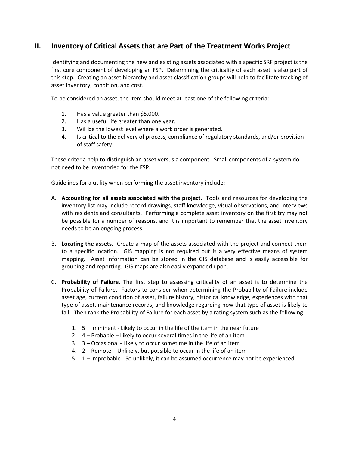# II. Inventory of Critical Assets that are Part of the Treatment Works Project

Identifying and documenting the new and existing assets associated with a specific SRF project is the first core component of developing an FSP. Determining the criticality of each asset is also part of this step. Creating an asset hierarchy and asset classification groups will help to facilitate tracking of asset inventory, condition, and cost.

To be considered an asset, the item should meet at least one of the following criteria:

- 1. Has a value greater than \$5,000.
- 2. Has a useful life greater than one year.
- 3. Will be the lowest level where a work order is generated.
- 4. Is critical to the delivery of process, compliance of regulatory standards, and/or provision of staff safety.

These criteria help to distinguish an asset versus a component. Small components of a system do not need to be inventoried for the FSP.

Guidelines for a utility when performing the asset inventory include:

- A. Accounting for all assets associated with the project. Tools and resources for developing the inventory list may include record drawings, staff knowledge, visual observations, and interviews with residents and consultants. Performing a complete asset inventory on the first try may not be possible for a number of reasons, and it is important to remember that the asset inventory needs to be an ongoing process.
- B. Locating the assets. Create a map of the assets associated with the project and connect them to a specific location. GIS mapping is not required but is a very effective means of system mapping. Asset information can be stored in the GIS database and is easily accessible for grouping and reporting. GIS maps are also easily expanded upon.
- C. Probability of Failure. The first step to assessing criticality of an asset is to determine the Probability of Failure. Factors to consider when determining the Probability of Failure include asset age, current condition of asset, failure history, historical knowledge, experiences with that type of asset, maintenance records, and knowledge regarding how that type of asset is likely to fail. Then rank the Probability of Failure for each asset by a rating system such as the following:
	- 1. 5 Imminent Likely to occur in the life of the item in the near future
	- 2. 4 Probable Likely to occur several times in the life of an item
	- 3. 3 Occasional Likely to occur sometime in the life of an item
	- 4. 2 Remote Unlikely, but possible to occur in the life of an item
	- 5. 1 Improbable So unlikely, it can be assumed occurrence may not be experienced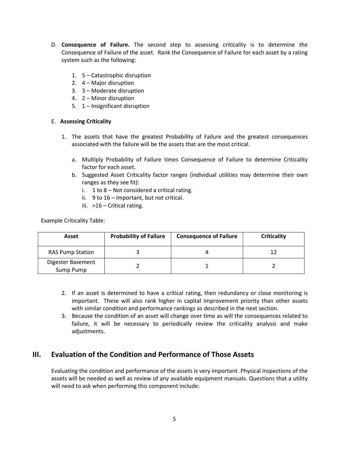- D. Consequence of Failure. The second step to assessing criticality is to determine the Consequence of Failure of the asset. Rank the Consequence of Failure for each asset by a rating system such as the following:
	- 1. 5 Catastrophic disruption
	- 2. 4 Major disruption
	- 3. 3 Moderate disruption
	- 4. 2 Minor disruption
	- 5. 1 Insignificant disruption

#### E. Assessing Criticality

- 1. The assets that have the greatest Probability of Failure and the greatest consequences associated with the failure will be the assets that are the most critical.
	- a. Multiply Probability of Failure times Consequence of Failure to determine Criticality factor for each asset.
	- b. Suggested Asset Criticality factor ranges (individual utilities may determine their own ranges as they see fit):
		- i. 1 to 8 Not considered a critical rating.
		- ii. 9 to 16 Important, but not critical.
		- iii. >16 Critical rating.

Example Criticality Table:

| Asset                          | <b>Probability of Failure</b> | <b>Consequence of Failure</b> | <b>Criticality</b> |
|--------------------------------|-------------------------------|-------------------------------|--------------------|
| <b>RAS Pump Station</b>        |                               |                               | 12                 |
| Digester Basement<br>Sump Pump |                               |                               |                    |

- 2. If an asset is determined to have a critical rating, then redundancy or close monitoring is important. These will also rank higher in capital improvement priority than other assets with similar condition and performance rankings as described in the next section.
- 3. Because the condition of an asset will change over time as will the consequences related to failure, it will be necessary to periodically review the criticality analysis and make adjustments.

# III. Evaluation of the Condition and Performance of Those Assets

Evaluating the condition and performance of the assets is very important. Physical inspections of the assets will be needed as well as review of any available equipment manuals. Questions that a utility will need to ask when performing this component include: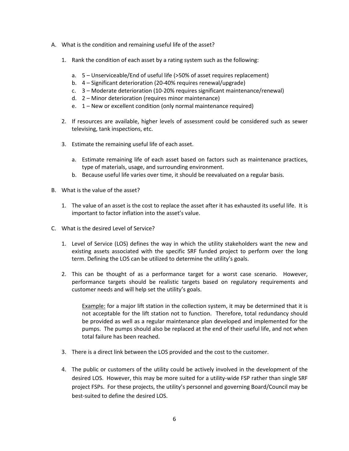- A. What is the condition and remaining useful life of the asset?
	- 1. Rank the condition of each asset by a rating system such as the following:
		- a. 5 Unserviceable/End of useful life (>50% of asset requires replacement)
		- b. 4 Significant deterioration (20-40% requires renewal/upgrade)
		- c. 3 Moderate deterioration (10-20% requires significant maintenance/renewal)
		- d. 2 Minor deterioration (requires minor maintenance)
		- e. 1 New or excellent condition (only normal maintenance required)
	- 2. If resources are available, higher levels of assessment could be considered such as sewer televising, tank inspections, etc.
	- 3. Estimate the remaining useful life of each asset.
		- a. Estimate remaining life of each asset based on factors such as maintenance practices, type of materials, usage, and surrounding environment.
		- b. Because useful life varies over time, it should be reevaluated on a regular basis.
- B. What is the value of the asset?
	- 1. The value of an asset is the cost to replace the asset after it has exhausted its useful life. It is important to factor inflation into the asset's value.
- C. What is the desired Level of Service?
	- 1. Level of Service (LOS) defines the way in which the utility stakeholders want the new and existing assets associated with the specific SRF funded project to perform over the long term. Defining the LOS can be utilized to determine the utility's goals.
	- 2. This can be thought of as a performance target for a worst case scenario. However, performance targets should be realistic targets based on regulatory requirements and customer needs and will help set the utility's goals.

Example: for a major lift station in the collection system, it may be determined that it is not acceptable for the lift station not to function. Therefore, total redundancy should be provided as well as a regular maintenance plan developed and implemented for the pumps. The pumps should also be replaced at the end of their useful life, and not when total failure has been reached.

- 3. There is a direct link between the LOS provided and the cost to the customer.
- 4. The public or customers of the utility could be actively involved in the development of the desired LOS. However, this may be more suited for a utility-wide FSP rather than single SRF project FSPs. For these projects, the utility's personnel and governing Board/Council may be best-suited to define the desired LOS.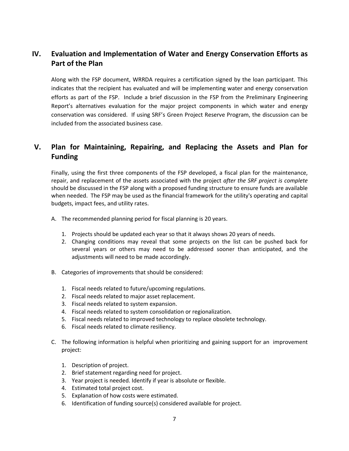# IV. Evaluation and Implementation of Water and Energy Conservation Efforts as Part of the Plan

Along with the FSP document, WRRDA requires a certification signed by the loan participant. This indicates that the recipient has evaluated and will be implementing water and energy conservation efforts as part of the FSP. Include a brief discussion in the FSP from the Preliminary Engineering Report's alternatives evaluation for the major project components in which water and energy conservation was considered. If using SRF's Green Project Reserve Program, the discussion can be included from the associated business case.

# V. Plan for Maintaining, Repairing, and Replacing the Assets and Plan for Funding

Finally, using the first three components of the FSP developed, a fiscal plan for the maintenance, repair, and replacement of the assets associated with the project after the SRF project is complete should be discussed in the FSP along with a proposed funding structure to ensure funds are available when needed. The FSP may be used as the financial framework for the utility's operating and capital budgets, impact fees, and utility rates.

- A. The recommended planning period for fiscal planning is 20 years.
	- 1. Projects should be updated each year so that it always shows 20 years of needs.
	- 2. Changing conditions may reveal that some projects on the list can be pushed back for several years or others may need to be addressed sooner than anticipated, and the adjustments will need to be made accordingly.
- B. Categories of improvements that should be considered:
	- 1. Fiscal needs related to future/upcoming regulations.
	- 2. Fiscal needs related to major asset replacement.
	- 3. Fiscal needs related to system expansion.
	- 4. Fiscal needs related to system consolidation or regionalization.
	- 5. Fiscal needs related to improved technology to replace obsolete technology.
	- 6. Fiscal needs related to climate resiliency.
- C. The following information is helpful when prioritizing and gaining support for an improvement project:
	- 1. Description of project.
	- 2. Brief statement regarding need for project.
	- 3. Year project is needed. Identify if year is absolute or flexible.
	- 4. Estimated total project cost.
	- 5. Explanation of how costs were estimated.
	- 6. Identification of funding source(s) considered available for project.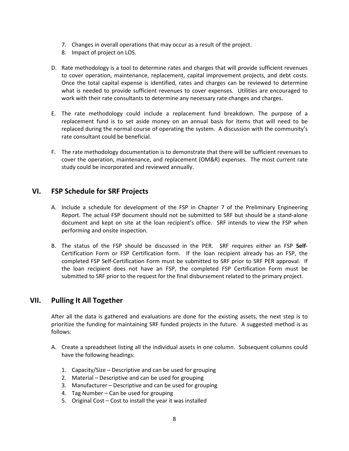- 7. Changes in overall operations that may occur as a result of the project.
- 8. Impact of project on LOS.
- D. Rate methodology is a tool to determine rates and charges that will provide sufficient revenues to cover operation, maintenance, replacement, capital improvement projects, and debt costs. Once the total capital expense is identified, rates and charges can be reviewed to determine what is needed to provide sufficient revenues to cover expenses. Utilities are encouraged to work with their rate consultants to determine any necessary rate changes and charges.
- E. The rate methodology could include a replacement fund breakdown. The purpose of a replacement fund is to set aside money on an annual basis for items that will need to be replaced during the normal course of operating the system. A discussion with the community's rate consultant could be beneficial.
- F. The rate methodology documentation is to demonstrate that there will be sufficient revenues to cover the operation, maintenance, and replacement (OM&R) expenses. The most current rate study could be incorporated and reviewed annually.

### VI. FSP Schedule for SRF Projects

- A. Include a schedule for development of the FSP in Chapter 7 of the Preliminary Engineering Report. The actual FSP document should not be submitted to SRF but should be a stand-alone document and kept on site at the loan recipient's office. SRF intends to view the FSP when performing and onsite inspection.
- B. The status of the FSP should be discussed in the PER. SRF requires either an FSP Self-Certification Form or FSP Certification form. If the loan recipient already has an FSP, the completed FSP Self-Certification Form must be submitted to SRF prior to SRF PER approval. If the loan recipient does not have an FSP, the completed FSP Certification Form must be submitted to SRF prior to the request for the final disbursement related to the primary project.

## VII. Pulling It All Together

After all the data is gathered and evaluations are done for the existing assets, the next step is to prioritize the funding for maintaining SRF funded projects in the future. A suggested method is as follows:

- A. Create a spreadsheet listing all the individual assets in one column. Subsequent columns could have the following headings:
	- 1. Capacity/Size Descriptive and can be used for grouping
	- 2. Material Descriptive and can be used for grouping
	- 3. Manufacturer Descriptive and can be used for grouping
	- 4. Tag Number Can be used for grouping
	- 5. Original Cost Cost to install the year it was installed